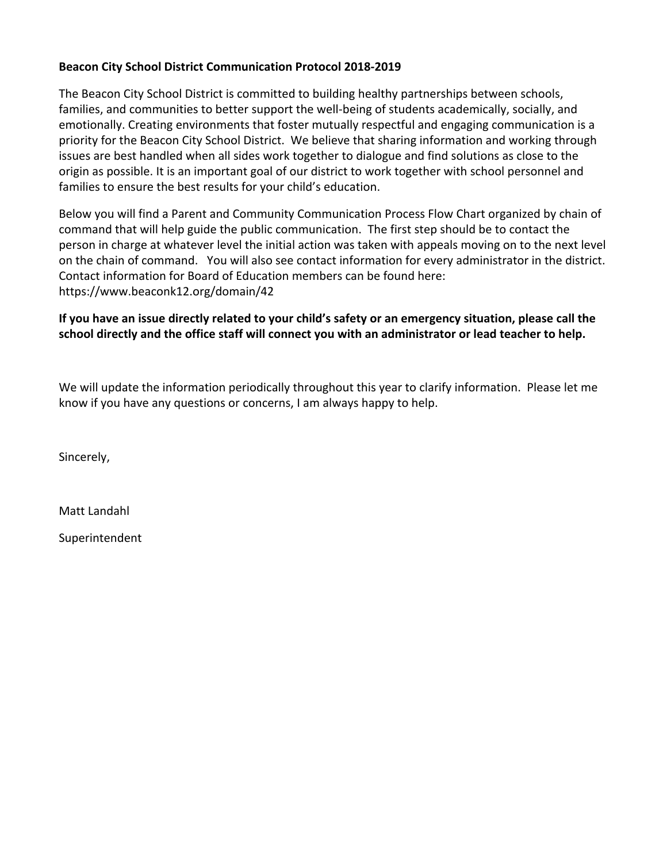#### **Beacon City School District Communication Protocol 2018-2019**

The Beacon City School District is committed to building healthy partnerships between schools, families, and communities to better support the well-being of students academically, socially, and emotionally. Creating environments that foster mutually respectful and engaging communication is a priority for the Beacon City School District. We believe that sharing information and working through issues are best handled when all sides work together to dialogue and find solutions as close to the origin as possible. It is an important goal of our district to work together with school personnel and families to ensure the best results for your child's education.

Below you will find a Parent and Community Communication Process Flow Chart organized by chain of command that will help guide the public communication. The first step should be to contact the person in charge at whatever level the initial action was taken with appeals moving on to the next level on the chain of command. You will also see contact information for every administrator in the district. Contact information for Board of Education members can be found here: https://www.beaconk12.org/domain/42

### **If you have an issue directly related to your child's safety or an emergency situation, please call the school directly and the office staff will connect you with an administrator or lead teacher to help.**

We will update the information periodically throughout this year to clarify information. Please let me know if you have any questions or concerns, I am always happy to help.

Sincerely,

Matt Landahl

Superintendent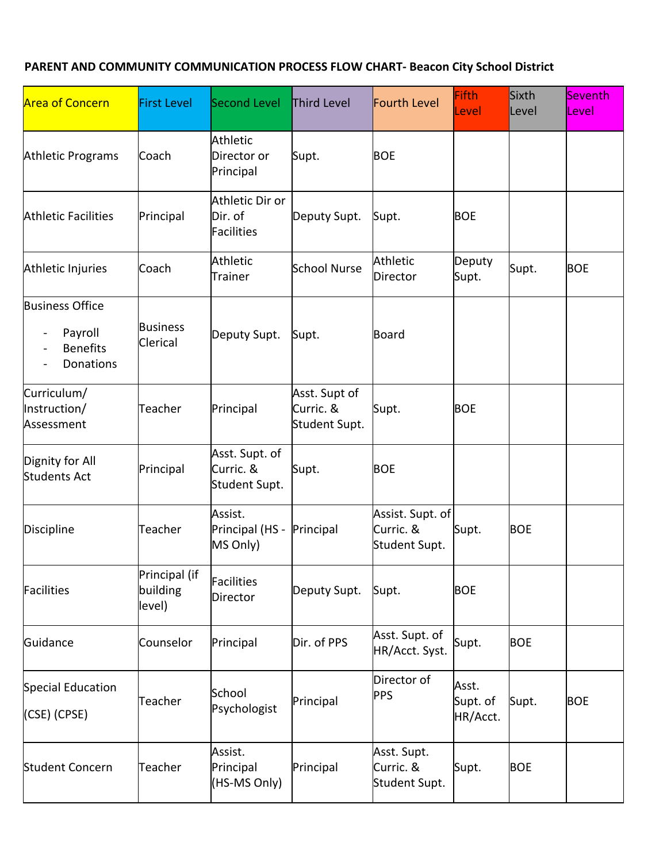### **PARENT AND COMMUNITY COMMUNICATION PROCESS FLOW CHART- Beacon City School District**

| <b>Area of Concern</b>                                                                                | <b>First Level</b>                  | Second Level                                     | Third Level                                 | Fourth Level                                   | Fifth<br>Level                | Sixth<br>Level | <b>Seventh</b><br>Level |
|-------------------------------------------------------------------------------------------------------|-------------------------------------|--------------------------------------------------|---------------------------------------------|------------------------------------------------|-------------------------------|----------------|-------------------------|
| <b>Athletic Programs</b>                                                                              | Coach                               | <b>Athletic</b><br>Director or<br>Principal      | Supt.                                       | <b>BOE</b>                                     |                               |                |                         |
| <b>Athletic Facilities</b>                                                                            | Principal                           | Athletic Dir or<br>Dir. of<br><b>Facilities</b>  | Deputy Supt.                                | Supt.                                          | <b>BOE</b>                    |                |                         |
| Athletic Injuries                                                                                     | Coach                               | <b>Athletic</b><br><b>Trainer</b>                | <b>School Nurse</b>                         | Athletic<br><b>Director</b>                    | Deputy<br>Supt.               | Supt.          | <b>BOE</b>              |
| <b>Business Office</b><br>Payroll<br>$\blacksquare$<br><b>Benefits</b><br>$\blacksquare$<br>Donations | <b>Business</b><br>Clerical         | Deputy Supt.                                     | Supt.                                       | Board                                          |                               |                |                         |
| Curriculum/<br>Instruction/<br>Assessment                                                             | Teacher                             | Principal                                        | Asst. Supt of<br>Curric. &<br>Student Supt. | Supt.                                          | <b>BOE</b>                    |                |                         |
| Dignity for All<br><b>Students Act</b>                                                                | Principal                           | Asst. Supt. of<br>Curric. &<br>Student Supt.     | Supt.                                       | <b>BOE</b>                                     |                               |                |                         |
| Discipline                                                                                            | Teacher                             | Assist.<br>Principal (HS - Principal<br>MS Only) |                                             | Assist. Supt. of<br>Curric. &<br>Student Supt. | Supt.                         | <b>BOE</b>     |                         |
| Facilities                                                                                            | Principal (if<br>building<br>level) | Facilities<br>Director                           | Deputy Supt.                                | Supt.                                          | <b>BOE</b>                    |                |                         |
| Guidance                                                                                              | Counselor                           | Principal                                        | Dir. of PPS                                 | Asst. Supt. of<br>HR/Acct. Syst.               | Supt.                         | <b>BOE</b>     |                         |
| Special Education<br>(CSE) (CPSE)                                                                     | Teacher                             | School<br>Psychologist                           | Principal                                   | Director of<br><b>PPS</b>                      | Asst.<br>Supt. of<br>HR/Acct. | Supt.          | <b>BOE</b>              |
| <b>Student Concern</b>                                                                                | Teacher                             | Assist.<br>Principal<br>(HS-MS Only)             | Principal                                   | Asst. Supt.<br>Curric. &<br>Student Supt.      | Supt.                         | <b>BOE</b>     |                         |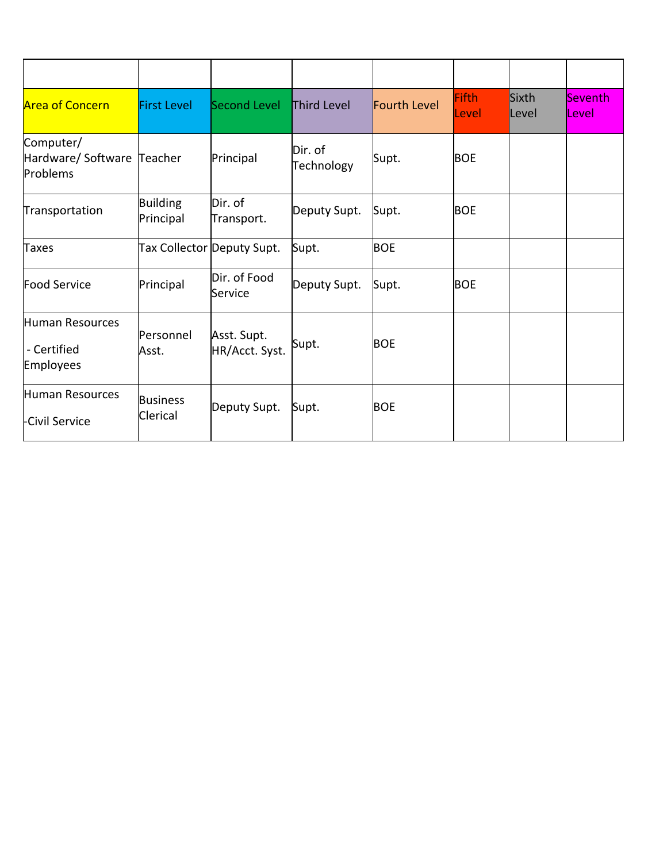| <b>Area of Concern</b>                              | <b>First Level</b>           | Second Level                  | Third Level           | Fourth Level | <b>Fifth</b><br>Level | Sixth<br>Level | Seventh<br><b>Level</b> |
|-----------------------------------------------------|------------------------------|-------------------------------|-----------------------|--------------|-----------------------|----------------|-------------------------|
| Computer/<br>Hardware/ Software Teacher<br>Problems |                              | Principal                     | Dir. of<br>Technology | Supt.        | <b>BOE</b>            |                |                         |
| Transportation                                      | <b>Building</b><br>Principal | Dir. of<br>Transport.         | Deputy Supt.          | Supt.        | <b>BOE</b>            |                |                         |
| <b>Taxes</b>                                        | Tax Collector Deputy Supt.   |                               | Supt.                 | <b>BOE</b>   |                       |                |                         |
| <b>Food Service</b>                                 | Principal                    | Dir. of Food<br>Service       | Deputy Supt.          | Supt.        | <b>BOE</b>            |                |                         |
| Human Resources<br>- Certified<br>Employees         | Personnel<br>Asst.           | Asst. Supt.<br>HR/Acct. Syst. | Supt.                 | <b>BOE</b>   |                       |                |                         |
| Human Resources<br>Civil Service                    | <b>Business</b><br>Clerical  | Deputy Supt.                  | Supt.                 | <b>BOE</b>   |                       |                |                         |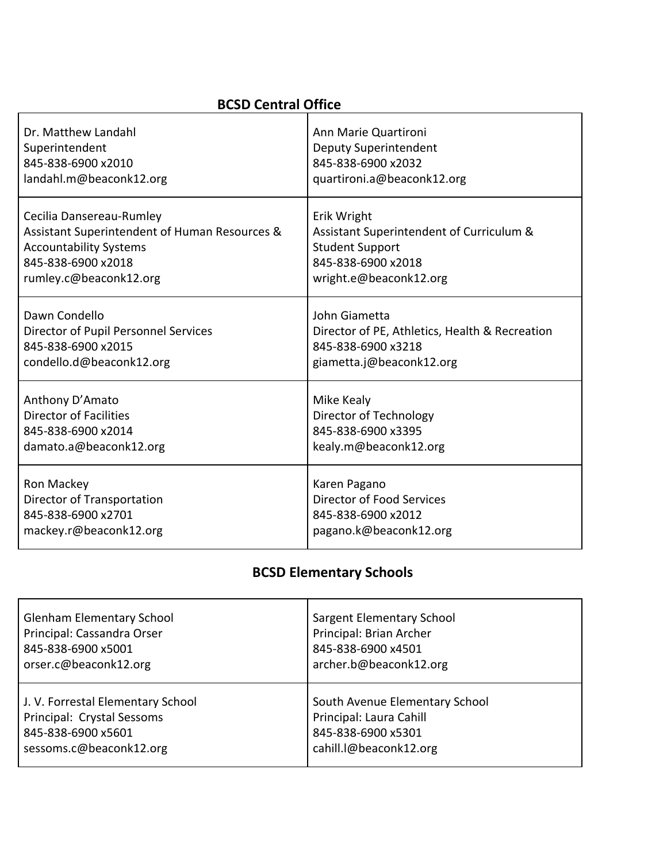## **BCSD Central Office**

| Dr. Matthew Landahl                           | Ann Marie Quartironi                           |
|-----------------------------------------------|------------------------------------------------|
| Superintendent                                | Deputy Superintendent                          |
| 845-838-6900 x2010                            | 845-838-6900 x2032                             |
| landahl.m@beaconk12.org                       | quartironi.a@beaconk12.org                     |
| Cecilia Dansereau-Rumley                      | Erik Wright                                    |
| Assistant Superintendent of Human Resources & | Assistant Superintendent of Curriculum &       |
| <b>Accountability Systems</b>                 | <b>Student Support</b>                         |
| 845-838-6900 x2018                            | 845-838-6900 x2018                             |
| rumley.c@beaconk12.org                        | wright.e@beaconk12.org                         |
| Dawn Condello                                 | John Giametta                                  |
| Director of Pupil Personnel Services          | Director of PE, Athletics, Health & Recreation |
| 845-838-6900 x2015                            | 845-838-6900 x3218                             |
| condello.d@beaconk12.org                      | giametta.j@beaconk12.org                       |
| Anthony D'Amato                               | Mike Kealy                                     |
| Director of Facilities                        | Director of Technology                         |
| 845-838-6900 x2014                            | 845-838-6900 x3395                             |
| damato.a@beaconk12.org                        | kealy.m@beaconk12.org                          |
| Ron Mackey                                    | Karen Pagano                                   |
| Director of Transportation                    | Director of Food Services                      |
| 845-838-6900 x2701                            | 845-838-6900 x2012                             |
| mackey.r@beaconk12.org                        | pagano.k@beaconk12.org                         |

# **BCSD Elementary Schools**

| <b>Glenham Elementary School</b>  | Sargent Elementary School      |
|-----------------------------------|--------------------------------|
| Principal: Cassandra Orser        | Principal: Brian Archer        |
| 845-838-6900 x5001                | 845-838-6900 x4501             |
| orser.c@beaconk12.org             | archer.b@beaconk12.org         |
| J. V. Forrestal Elementary School | South Avenue Elementary School |
| Principal: Crystal Sessoms        | Principal: Laura Cahill        |
| 845-838-6900 x5601                | 845-838-6900 x5301             |
| sessoms.c@beaconk12.org           | cahill.l@beaconk12.org         |